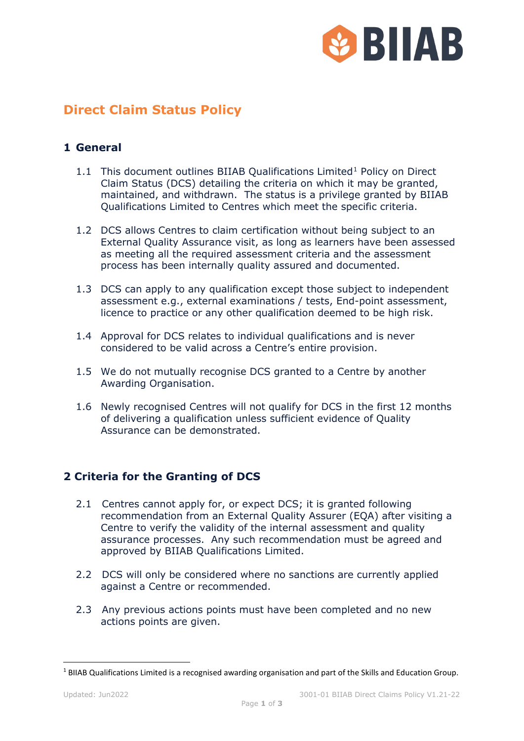

# **Direct Claim Status Policy**

## **1 General**

- [1](#page-0-0).1 This document outlines BIIAB Qualifications Limited<sup>1</sup> Policy on Direct Claim Status (DCS) detailing the criteria on which it may be granted, maintained, and withdrawn. The status is a privilege granted by BIIAB Qualifications Limited to Centres which meet the specific criteria.
- 1.2 DCS allows Centres to claim certification without being subject to an External Quality Assurance visit, as long as learners have been assessed as meeting all the required assessment criteria and the assessment process has been internally quality assured and documented.
- 1.3 DCS can apply to any qualification except those subject to independent assessment e.g., external examinations / tests, End-point assessment, licence to practice or any other qualification deemed to be high risk.
- 1.4 Approval for DCS relates to individual qualifications and is never considered to be valid across a Centre's entire provision.
- 1.5 We do not mutually recognise DCS granted to a Centre by another Awarding Organisation.
- 1.6 Newly recognised Centres will not qualify for DCS in the first 12 months of delivering a qualification unless sufficient evidence of Quality Assurance can be demonstrated.

## **2 Criteria for the Granting of DCS**

- 2.1 Centres cannot apply for, or expect DCS; it is granted following recommendation from an External Quality Assurer (EQA) after visiting a Centre to verify the validity of the internal assessment and quality assurance processes. Any such recommendation must be agreed and approved by BIIAB Qualifications Limited.
- 2.2 DCS will only be considered where no sanctions are currently applied against a Centre or recommended.
- 2.3 Any previous actions points must have been completed and no new actions points are given.

<span id="page-0-0"></span> $1$  BIIAB Qualifications Limited is a recognised awarding organisation and part of the Skills and Education Group.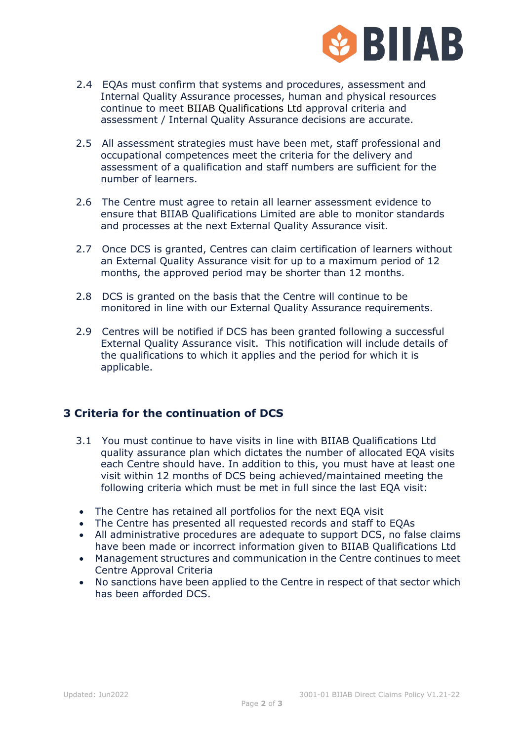

- 2.4 EQAs must confirm that systems and procedures, assessment and Internal Quality Assurance processes, human and physical resources continue to meet BIIAB Qualifications Ltd approval criteria and assessment / Internal Quality Assurance decisions are accurate.
- 2.5 All assessment strategies must have been met, staff professional and occupational competences meet the criteria for the delivery and assessment of a qualification and staff numbers are sufficient for the number of learners.
- 2.6 The Centre must agree to retain all learner assessment evidence to ensure that BIIAB Qualifications Limited are able to monitor standards and processes at the next External Quality Assurance visit.
- 2.7 Once DCS is granted, Centres can claim certification of learners without an External Quality Assurance visit for up to a maximum period of 12 months, the approved period may be shorter than 12 months.
- 2.8 DCS is granted on the basis that the Centre will continue to be monitored in line with our External Quality Assurance requirements.
- 2.9 Centres will be notified if DCS has been granted following a successful External Quality Assurance visit. This notification will include details of the qualifications to which it applies and the period for which it is applicable.

#### **3 Criteria for the continuation of DCS**

- 3.1 You must continue to have visits in line with BIIAB Qualifications Ltd quality assurance plan which dictates the number of allocated EQA visits each Centre should have. In addition to this, you must have at least one visit within 12 months of DCS being achieved/maintained meeting the following criteria which must be met in full since the last EQA visit:
- The Centre has retained all portfolios for the next EQA visit
- The Centre has presented all requested records and staff to EQAs
- All administrative procedures are adequate to support DCS, no false claims have been made or incorrect information given to BIIAB Qualifications Ltd
- Management structures and communication in the Centre continues to meet Centre Approval Criteria
- No sanctions have been applied to the Centre in respect of that sector which has been afforded DCS.